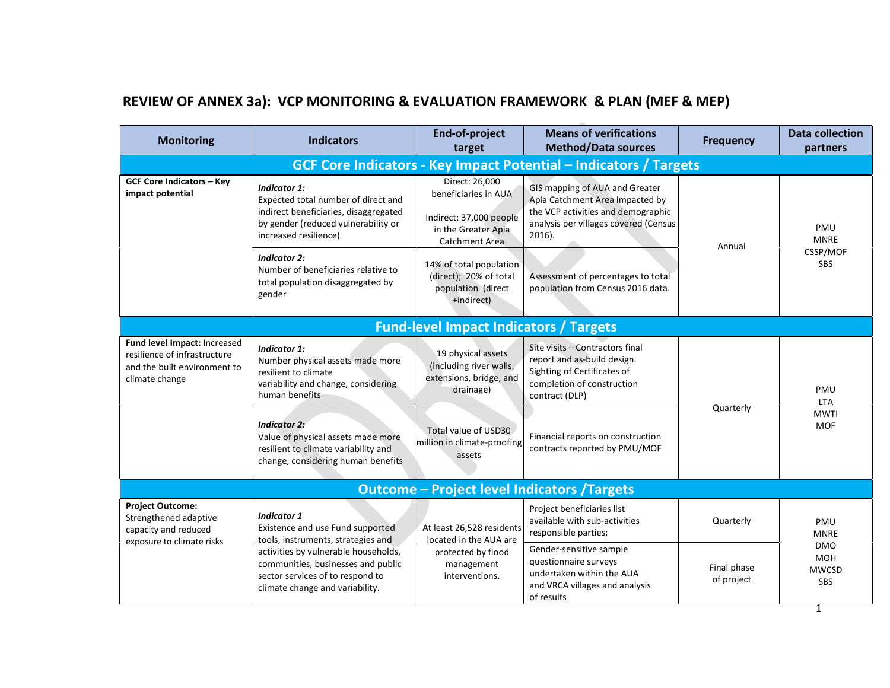## **REVIEW OF ANNEX 3a): VCP MONITORING & EVALUATION FRAMEWORK & PLAN (MEF & MEP)**

| <b>Monitoring</b>                                                                                              | <b>Indicators</b>                                                                                                                                                   | End-of-project<br>target                                                                                          | <b>Means of verifications</b><br><b>Method/Data sources</b>                                                                                                   | <b>Frequency</b>          | <b>Data collection</b><br>partners              |  |  |  |
|----------------------------------------------------------------------------------------------------------------|---------------------------------------------------------------------------------------------------------------------------------------------------------------------|-------------------------------------------------------------------------------------------------------------------|---------------------------------------------------------------------------------------------------------------------------------------------------------------|---------------------------|-------------------------------------------------|--|--|--|
|                                                                                                                |                                                                                                                                                                     |                                                                                                                   | <b>GCF Core Indicators - Key Impact Potential - Indicators / Targets</b>                                                                                      |                           |                                                 |  |  |  |
| <b>GCF Core Indicators - Key</b><br>impact potential                                                           | <b>Indicator 1:</b><br>Expected total number of direct and<br>indirect beneficiaries, disaggregated<br>by gender (reduced vulnerability or<br>increased resilience) | Direct: 26,000<br>beneficiaries in AUA<br>Indirect: 37,000 people<br>in the Greater Apia<br><b>Catchment Area</b> | GIS mapping of AUA and Greater<br>Apia Catchment Area impacted by<br>the VCP activities and demographic<br>analysis per villages covered (Census<br>$2016$ ). | Annual                    | <b>PMU</b><br><b>MNRE</b>                       |  |  |  |
|                                                                                                                | <b>Indicator 2:</b><br>Number of beneficiaries relative to<br>total population disaggregated by<br>gender                                                           | 14% of total population<br>(direct); 20% of total<br>population (direct<br>+indirect)                             | Assessment of percentages to total<br>population from Census 2016 data.                                                                                       |                           | CSSP/MOF<br><b>SBS</b>                          |  |  |  |
|                                                                                                                |                                                                                                                                                                     | <b>Fund-level Impact Indicators / Targets</b>                                                                     |                                                                                                                                                               |                           |                                                 |  |  |  |
| Fund level Impact: Increased<br>resilience of infrastructure<br>and the built environment to<br>climate change | <b>Indicator 1:</b><br>Number physical assets made more<br>resilient to climate<br>variability and change, considering<br>human benefits                            | 19 physical assets<br>(including river walls,<br>extensions, bridge, and<br>drainage)                             | Site visits - Contractors final<br>report and as-build design.<br>Sighting of Certificates of<br>completion of construction<br>contract (DLP)                 |                           | PMU<br><b>LTA</b>                               |  |  |  |
|                                                                                                                | <b>Indicator 2:</b><br>Value of physical assets made more<br>resilient to climate variability and<br>change, considering human benefits                             | Total value of USD30<br>million in climate-proofing<br>assets                                                     | Financial reports on construction<br>contracts reported by PMU/MOF                                                                                            | Quarterly                 | <b>MWTI</b><br><b>MOF</b>                       |  |  |  |
|                                                                                                                | <b>Outcome - Project level Indicators / Targets</b>                                                                                                                 |                                                                                                                   |                                                                                                                                                               |                           |                                                 |  |  |  |
| <b>Project Outcome:</b><br>Strengthened adaptive<br>capacity and reduced<br>exposure to climate risks          | <b>Indicator 1</b><br>Existence and use Fund supported<br>tools, instruments, strategies and                                                                        | At least 26,528 residents<br>located in the AUA are                                                               | Project beneficiaries list<br>available with sub-activities<br>responsible parties;                                                                           | Quarterly                 | PMU<br><b>MNRE</b>                              |  |  |  |
|                                                                                                                | activities by vulnerable households,<br>communities, businesses and public<br>sector services of to respond to<br>climate change and variability.                   | protected by flood<br>management<br>interventions.                                                                | Gender-sensitive sample<br>questionnaire surveys<br>undertaken within the AUA<br>and VRCA villages and analysis<br>of results                                 | Final phase<br>of project | <b>DMO</b><br><b>MOH</b><br><b>MWCSD</b><br>SBS |  |  |  |

1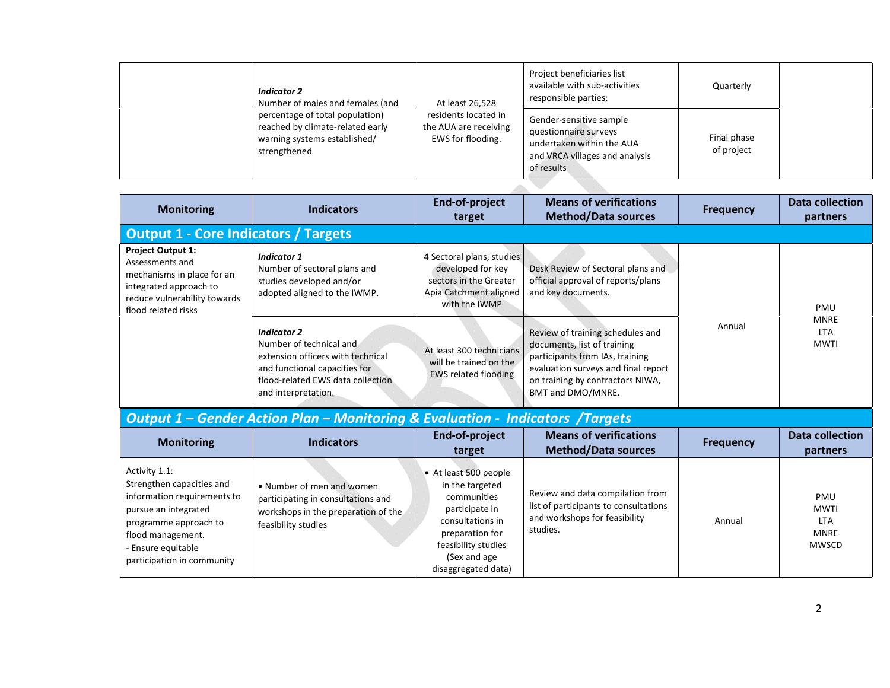| Indicator 2<br>Number of males and females (and                                                                     | At least 26,528                                                    | Project beneficiaries list<br>available with sub-activities<br>responsible parties;                                           | Quarterly                 |  |
|---------------------------------------------------------------------------------------------------------------------|--------------------------------------------------------------------|-------------------------------------------------------------------------------------------------------------------------------|---------------------------|--|
| percentage of total population)<br>reached by climate-related early<br>warning systems established/<br>strengthened | residents located in<br>the AUA are receiving<br>EWS for flooding. | Gender-sensitive sample<br>questionnaire surveys<br>undertaken within the AUA<br>and VRCA villages and analysis<br>of results | Final phase<br>of project |  |

| <b>Monitoring</b>                                                                                                                                          | <b>Indicators</b>                                                                                                                                                               | End-of-project<br>target                                                                                            | <b>Means of verifications</b><br><b>Method/Data sources</b>                                                                                                                                        | <b>Frequency</b> | <b>Data collection</b><br>partners       |
|------------------------------------------------------------------------------------------------------------------------------------------------------------|---------------------------------------------------------------------------------------------------------------------------------------------------------------------------------|---------------------------------------------------------------------------------------------------------------------|----------------------------------------------------------------------------------------------------------------------------------------------------------------------------------------------------|------------------|------------------------------------------|
| <b>Output 1 - Core Indicators / Targets</b>                                                                                                                |                                                                                                                                                                                 |                                                                                                                     |                                                                                                                                                                                                    |                  |                                          |
| <b>Project Output 1:</b><br>Assessments and<br>mechanisms in place for an<br>integrated approach to<br>reduce vulnerability towards<br>flood related risks | <b>Indicator 1</b><br>Number of sectoral plans and<br>studies developed and/or<br>adopted aligned to the IWMP.                                                                  | 4 Sectoral plans, studies<br>developed for key<br>sectors in the Greater<br>Apia Catchment aligned<br>with the IWMP | Desk Review of Sectoral plans and<br>official approval of reports/plans<br>and key documents.                                                                                                      |                  | PMU                                      |
|                                                                                                                                                            | <b>Indicator 2</b><br>Number of technical and<br>extension officers with technical<br>and functional capacities for<br>flood-related EWS data collection<br>and interpretation. | At least 300 technicians<br>will be trained on the<br><b>EWS related flooding</b>                                   | Review of training schedules and<br>documents, list of training<br>participants from IAs, training<br>evaluation surveys and final report<br>on training by contractors NIWA,<br>BMT and DMO/MNRE. | Annual           | <b>MNRE</b><br><b>LTA</b><br><b>MWTI</b> |

## *Output 1 – Gender Action Plan – Monitoring & Evaluation - Indicators /Targets*

| <b>Monitoring</b>                                                                                                                                                                                   | <b>Indicators</b>                                                                                                             | End-of-project<br>target                                                                                                                                                       | <b>Means of verifications</b><br><b>Method/Data sources</b>                                                            | <b>Frequency</b> | <b>Data collection</b><br>partners                              |
|-----------------------------------------------------------------------------------------------------------------------------------------------------------------------------------------------------|-------------------------------------------------------------------------------------------------------------------------------|--------------------------------------------------------------------------------------------------------------------------------------------------------------------------------|------------------------------------------------------------------------------------------------------------------------|------------------|-----------------------------------------------------------------|
| Activity 1.1:<br>Strengthen capacities and<br>information requirements to<br>pursue an integrated<br>programme approach to<br>flood management.<br>- Ensure equitable<br>participation in community | • Number of men and women<br>participating in consultations and<br>workshops in the preparation of the<br>feasibility studies | • At least 500 people<br>in the targeted<br>communities<br>participate in<br>consultations in<br>preparation for<br>feasibility studies<br>(Sex and age<br>disaggregated data) | Review and data compilation from<br>list of participants to consultations<br>and workshops for feasibility<br>studies. | Annual           | PMU<br><b>MWTI</b><br><b>LTA</b><br><b>MNRE</b><br><b>MWSCD</b> |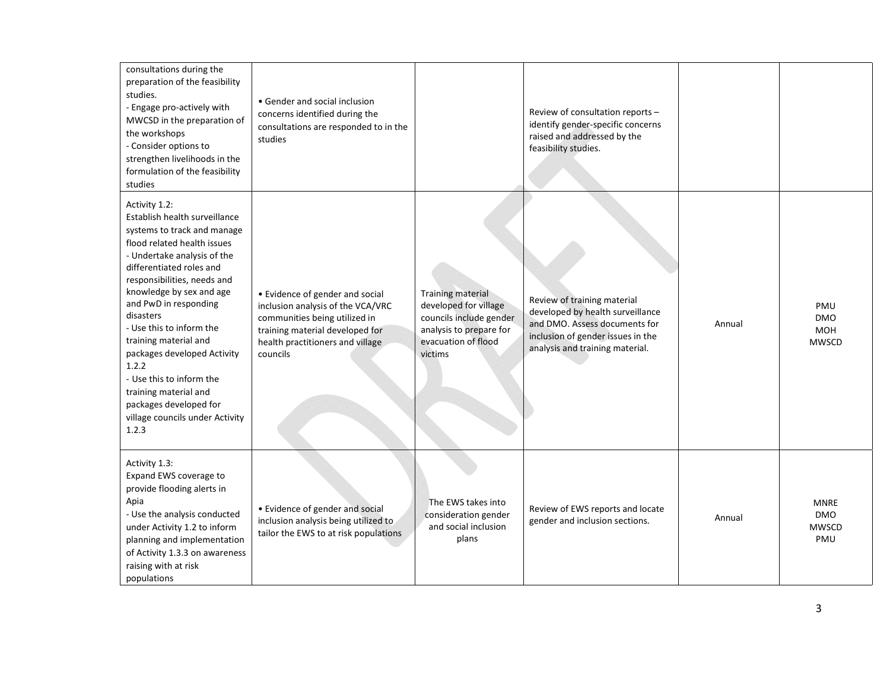| consultations during the<br>preparation of the feasibility<br>studies.<br>- Engage pro-actively with<br>MWCSD in the preparation of<br>the workshops<br>- Consider options to<br>strengthen livelihoods in the<br>formulation of the feasibility<br>studies                                                                                                                                                                                                                                      | • Gender and social inclusion<br>concerns identified during the<br>consultations are responded to in the<br>studies                                                                      |                                                                                                                                           | Review of consultation reports -<br>identify gender-specific concerns<br>raised and addressed by the<br>feasibility studies.                                             |        |                                                  |
|--------------------------------------------------------------------------------------------------------------------------------------------------------------------------------------------------------------------------------------------------------------------------------------------------------------------------------------------------------------------------------------------------------------------------------------------------------------------------------------------------|------------------------------------------------------------------------------------------------------------------------------------------------------------------------------------------|-------------------------------------------------------------------------------------------------------------------------------------------|--------------------------------------------------------------------------------------------------------------------------------------------------------------------------|--------|--------------------------------------------------|
| Activity 1.2:<br>Establish health surveillance<br>systems to track and manage<br>flood related health issues<br>- Undertake analysis of the<br>differentiated roles and<br>responsibilities, needs and<br>knowledge by sex and age<br>and PwD in responding<br>disasters<br>- Use this to inform the<br>training material and<br>packages developed Activity<br>1.2.2<br>- Use this to inform the<br>training material and<br>packages developed for<br>village councils under Activity<br>1.2.3 | • Evidence of gender and social<br>inclusion analysis of the VCA/VRC<br>communities being utilized in<br>training material developed for<br>health practitioners and village<br>councils | <b>Training material</b><br>developed for village<br>councils include gender<br>analysis to prepare for<br>evacuation of flood<br>victims | Review of training material<br>developed by health surveillance<br>and DMO. Assess documents for<br>inclusion of gender issues in the<br>analysis and training material. | Annual | PMU<br><b>DMO</b><br><b>MOH</b><br><b>MWSCD</b>  |
| Activity 1.3:<br>Expand EWS coverage to<br>provide flooding alerts in<br>Apia<br>- Use the analysis conducted<br>under Activity 1.2 to inform<br>planning and implementation<br>of Activity 1.3.3 on awareness<br>raising with at risk<br>populations                                                                                                                                                                                                                                            | • Evidence of gender and social<br>inclusion analysis being utilized to<br>tailor the EWS to at risk populations                                                                         | The EWS takes into<br>consideration gender<br>and social inclusion<br>plans                                                               | Review of EWS reports and locate<br>gender and inclusion sections.                                                                                                       | Annual | <b>MNRE</b><br><b>DMO</b><br><b>MWSCD</b><br>PMU |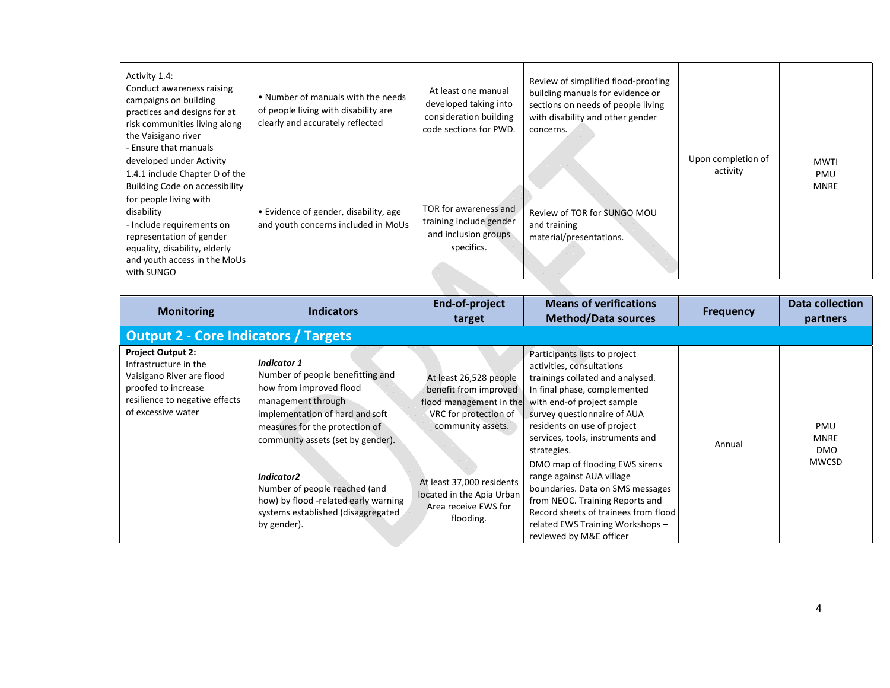| Activity 1.4:<br>Conduct awareness raising<br>campaigns on building<br>practices and designs for at<br>risk communities living along<br>the Vaisigano river<br>- Ensure that manuals<br>developed under Activity                                 | • Number of manuals with the needs<br>of people living with disability are<br>clearly and accurately reflected | At least one manual<br>developed taking into<br>consideration building<br>code sections for PWD. | Review of simplified flood-proofing<br>building manuals for evidence or<br>sections on needs of people living<br>with disability and other gender<br>concerns. | Upon completion of | <b>MWTI</b>        |
|--------------------------------------------------------------------------------------------------------------------------------------------------------------------------------------------------------------------------------------------------|----------------------------------------------------------------------------------------------------------------|--------------------------------------------------------------------------------------------------|----------------------------------------------------------------------------------------------------------------------------------------------------------------|--------------------|--------------------|
| 1.4.1 include Chapter D of the<br>Building Code on accessibility<br>for people living with<br>disability<br>- Include requirements on<br>representation of gender<br>equality, disability, elderly<br>and youth access in the MoUs<br>with SUNGO | • Evidence of gender, disability, age<br>and youth concerns included in MoUs                                   | TOR for awareness and<br>training include gender<br>and inclusion groups<br>specifics.           | Review of TOR for SUNGO MOU<br>and training<br>material/presentations.                                                                                         | activity           | PMU<br><b>MNRE</b> |
|                                                                                                                                                                                                                                                  |                                                                                                                |                                                                                                  |                                                                                                                                                                |                    |                    |

| <b>Monitoring</b>                                                                                                                                             | <b>Indicators</b>                                                                                                                                                                                                 | End-of-project<br>target                                                                                                 | <b>Means of verifications</b><br><b>Method/Data sources</b>                                                                                                                                                                                                                   | <b>Frequency</b> | <b>Data collection</b><br>partners |
|---------------------------------------------------------------------------------------------------------------------------------------------------------------|-------------------------------------------------------------------------------------------------------------------------------------------------------------------------------------------------------------------|--------------------------------------------------------------------------------------------------------------------------|-------------------------------------------------------------------------------------------------------------------------------------------------------------------------------------------------------------------------------------------------------------------------------|------------------|------------------------------------|
| <b>Output 2 - Core Indicators / Targets</b>                                                                                                                   |                                                                                                                                                                                                                   |                                                                                                                          |                                                                                                                                                                                                                                                                               |                  |                                    |
| <b>Project Output 2:</b><br>Infrastructure in the<br>Vaisigano River are flood<br>proofed to increase<br>resilience to negative effects<br>of excessive water | <b>Indicator 1</b><br>Number of people benefitting and<br>how from improved flood<br>management through<br>implementation of hard and soft<br>measures for the protection of<br>community assets (set by gender). | At least 26,528 people<br>benefit from improved<br>flood management in the<br>VRC for protection of<br>community assets. | Participants lists to project<br>activities, consultations<br>trainings collated and analysed.<br>In final phase, complemented<br>with end-of project sample<br>survey questionnaire of AUA<br>residents on use of project<br>services, tools, instruments and<br>strategies. | Annual           | PMU<br><b>MNRE</b><br><b>DMO</b>   |
|                                                                                                                                                               | Indicator <sub>2</sub><br>Number of people reached (and<br>how) by flood -related early warning<br>systems established (disaggregated<br>by gender).                                                              | At least 37,000 residents<br>located in the Apia Urban<br>Area receive EWS for<br>flooding.                              | DMO map of flooding EWS sirens<br>range against AUA village<br>boundaries. Data on SMS messages<br>from NEOC. Training Reports and<br>Record sheets of trainees from flood<br>related EWS Training Workshops -<br>reviewed by M&E officer                                     |                  | <b>MWCSD</b>                       |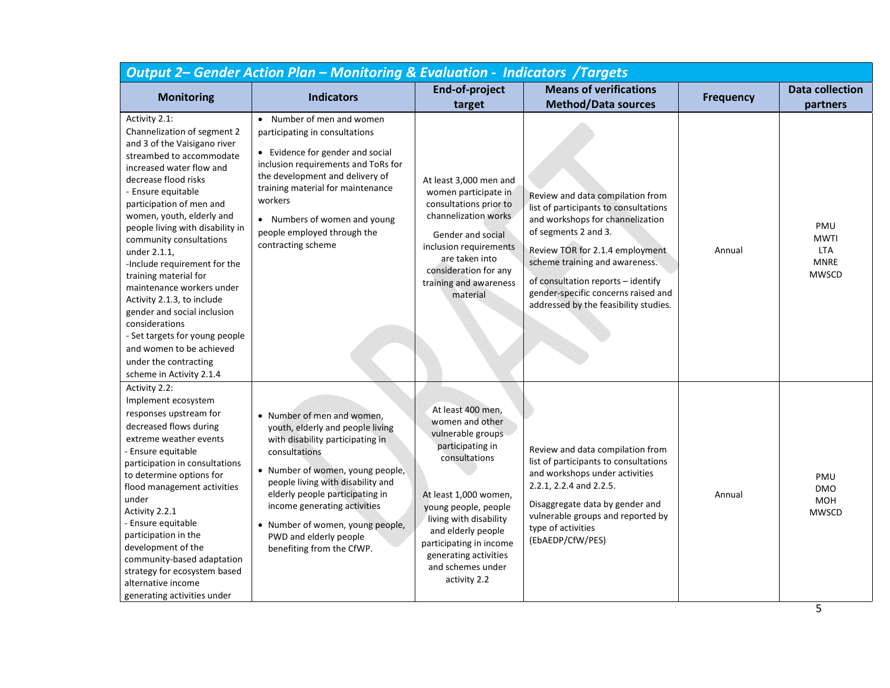| <b>Output 2- Gender Action Plan - Monitoring &amp; Evaluation - Indicators /Targets</b>                                                                                                                                                                                                                                                                                                                                                                                                                                                                                                                            |                                                                                                                                                                                                                                                                                                                                                            |                                                                                                                                                                                                                                                                                          |                                                                                                                                                                                                                                                                                                                                  |                  |                                                                 |
|--------------------------------------------------------------------------------------------------------------------------------------------------------------------------------------------------------------------------------------------------------------------------------------------------------------------------------------------------------------------------------------------------------------------------------------------------------------------------------------------------------------------------------------------------------------------------------------------------------------------|------------------------------------------------------------------------------------------------------------------------------------------------------------------------------------------------------------------------------------------------------------------------------------------------------------------------------------------------------------|------------------------------------------------------------------------------------------------------------------------------------------------------------------------------------------------------------------------------------------------------------------------------------------|----------------------------------------------------------------------------------------------------------------------------------------------------------------------------------------------------------------------------------------------------------------------------------------------------------------------------------|------------------|-----------------------------------------------------------------|
| <b>Monitoring</b>                                                                                                                                                                                                                                                                                                                                                                                                                                                                                                                                                                                                  | <b>Indicators</b>                                                                                                                                                                                                                                                                                                                                          | End-of-project<br>target                                                                                                                                                                                                                                                                 | <b>Means of verifications</b><br><b>Method/Data sources</b>                                                                                                                                                                                                                                                                      | <b>Frequency</b> | <b>Data collection</b><br>partners                              |
| Activity 2.1:<br>Channelization of segment 2<br>and 3 of the Vaisigano river<br>streambed to accommodate<br>increased water flow and<br>decrease flood risks<br>- Ensure equitable<br>participation of men and<br>women, youth, elderly and<br>people living with disability in<br>community consultations<br>under 2.1.1,<br>-Include requirement for the<br>training material for<br>maintenance workers under<br>Activity 2.1.3, to include<br>gender and social inclusion<br>considerations<br>- Set targets for young people<br>and women to be achieved<br>under the contracting<br>scheme in Activity 2.1.4 | • Number of men and women<br>participating in consultations<br>• Evidence for gender and social<br>inclusion requirements and ToRs for<br>the development and delivery of<br>training material for maintenance<br>workers<br>• Numbers of women and young<br>people employed through the<br>contracting scheme                                             | At least 3,000 men and<br>women participate in<br>consultations prior to<br>channelization works<br>Gender and social<br>inclusion requirements<br>are taken into<br>consideration for any<br>training and awareness<br>material                                                         | Review and data compilation from<br>list of participants to consultations<br>and workshops for channelization<br>of segments 2 and 3.<br>Review TOR for 2.1.4 employment<br>scheme training and awareness.<br>of consultation reports - identify<br>gender-specific concerns raised and<br>addressed by the feasibility studies. | Annual           | PMU<br><b>MWTI</b><br><b>LTA</b><br><b>MNRE</b><br><b>MWSCD</b> |
| Activity 2.2:<br>Implement ecosystem<br>responses upstream for<br>decreased flows during<br>extreme weather events<br>- Ensure equitable<br>participation in consultations<br>to determine options for<br>flood management activities<br>under<br>Activity 2.2.1<br>- Ensure equitable<br>participation in the<br>development of the<br>community-based adaptation<br>strategy for ecosystem based<br>alternative income<br>generating activities under                                                                                                                                                            | • Number of men and women,<br>youth, elderly and people living<br>with disability participating in<br>consultations<br>• Number of women, young people,<br>people living with disability and<br>elderly people participating in<br>income generating activities<br>• Number of women, young people,<br>PWD and elderly people<br>benefiting from the CfWP. | At least 400 men,<br>women and other<br>vulnerable groups<br>participating in<br>consultations<br>At least 1,000 women,<br>young people, people<br>living with disability<br>and elderly people<br>participating in income<br>generating activities<br>and schemes under<br>activity 2.2 | Review and data compilation from<br>list of participants to consultations<br>and workshops under activities<br>2.2.1, 2.2.4 and 2.2.5.<br>Disaggregate data by gender and<br>vulnerable groups and reported by<br>type of activities<br>(EbAEDP/CfW/PES)                                                                         | Annual           | PMU<br><b>DMO</b><br><b>MOH</b><br><b>MWSCD</b>                 |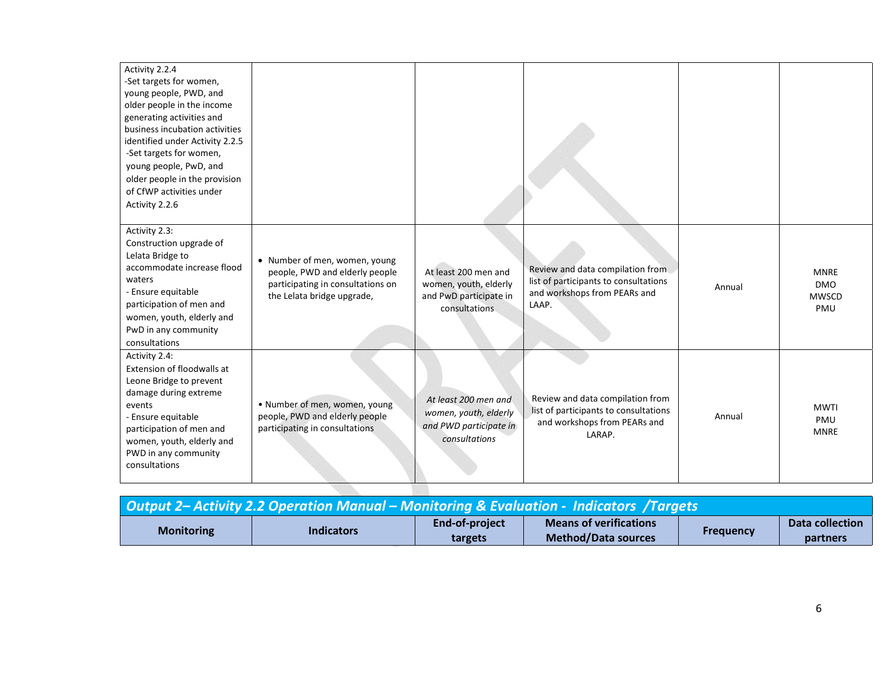| Activity 2.2.4<br>-Set targets for women,<br>young people, PWD, and<br>older people in the income<br>generating activities and<br>business incubation activities<br>identified under Activity 2.2.5<br>-Set targets for women,<br>young people, PwD, and<br>older people in the provision<br>of CfWP activities under<br>Activity 2.2.6 |                                                                                                                                    |                                                                                          |                                                                                                                     |        |                                                  |
|-----------------------------------------------------------------------------------------------------------------------------------------------------------------------------------------------------------------------------------------------------------------------------------------------------------------------------------------|------------------------------------------------------------------------------------------------------------------------------------|------------------------------------------------------------------------------------------|---------------------------------------------------------------------------------------------------------------------|--------|--------------------------------------------------|
| Activity 2.3:<br>Construction upgrade of<br>Lelata Bridge to<br>accommodate increase flood<br>waters<br>- Ensure equitable<br>participation of men and<br>women, youth, elderly and<br>PwD in any community<br>consultations                                                                                                            | • Number of men, women, young<br>people, PWD and elderly people<br>participating in consultations on<br>the Lelata bridge upgrade, | At least 200 men and<br>women, youth, elderly<br>and PwD participate in<br>consultations | Review and data compilation from<br>list of participants to consultations<br>and workshops from PEARs and<br>LAAP.  | Annual | <b>MNRE</b><br><b>DMO</b><br><b>MWSCD</b><br>PMU |
| Activity 2.4:<br>Extension of floodwalls at<br>Leone Bridge to prevent<br>damage during extreme<br>events<br>- Ensure equitable<br>participation of men and<br>women, youth, elderly and<br>PWD in any community<br>consultations                                                                                                       | • Number of men, women, young<br>people, PWD and elderly people<br>participating in consultations                                  | At least 200 men and<br>women, youth, elderly<br>and PWD participate in<br>consultations | Review and data compilation from<br>list of participants to consultations<br>and workshops from PEARs and<br>LARAP. | Annual | <b>MWTI</b><br>PMU<br><b>MNRE</b>                |

| Output 2– Activity 2.2 Operation Manual – Monitoring & Evaluation - Indicators /Targets |                   |                           |                                                             |           |                             |  |  |
|-----------------------------------------------------------------------------------------|-------------------|---------------------------|-------------------------------------------------------------|-----------|-----------------------------|--|--|
| <b>Monitoring</b>                                                                       | <b>Indicators</b> | End-of-project<br>targets | <b>Means of verifications</b><br><b>Method/Data sources</b> | Frequency | Data collection<br>partners |  |  |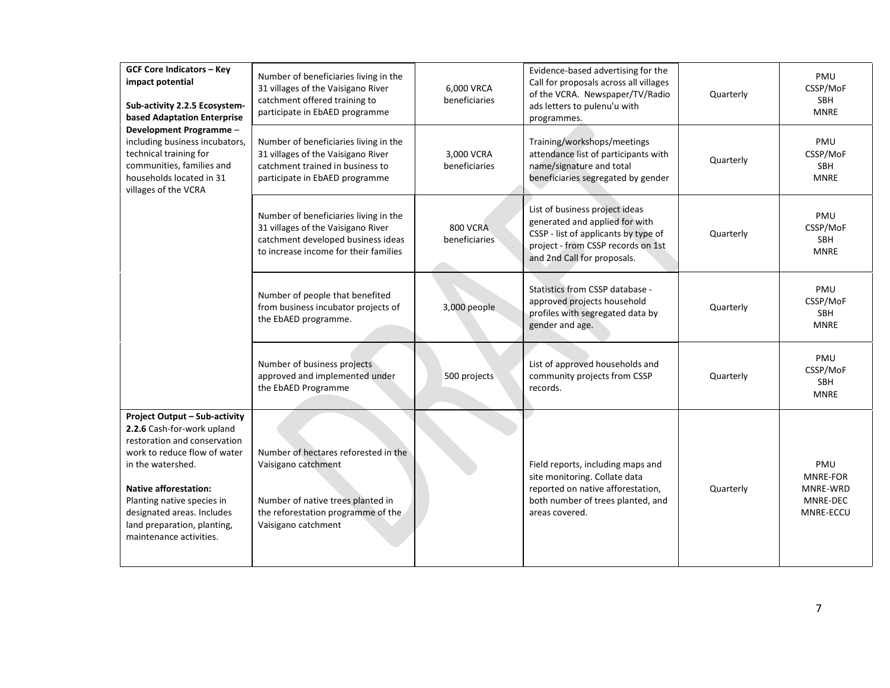| <b>GCF Core Indicators - Key</b><br>impact potential<br>Sub-activity 2.2.5 Ecosystem-<br>based Adaptation Enterprise                                                                                                                                                                                          | Number of beneficiaries living in the<br>31 villages of the Vaisigano River<br>catchment offered training to<br>participate in EbAED programme                | 6,000 VRCA<br>beneficiaries      | Evidence-based advertising for the<br>Call for proposals across all villages<br>of the VCRA. Newspaper/TV/Radio<br>ads letters to pulenu'u with<br>programmes.                | Quarterly | PMU<br>CSSP/MoF<br><b>SBH</b><br><b>MNRE</b>         |
|---------------------------------------------------------------------------------------------------------------------------------------------------------------------------------------------------------------------------------------------------------------------------------------------------------------|---------------------------------------------------------------------------------------------------------------------------------------------------------------|----------------------------------|-------------------------------------------------------------------------------------------------------------------------------------------------------------------------------|-----------|------------------------------------------------------|
| Development Programme -<br>including business incubators,<br>technical training for<br>communities, families and<br>households located in 31<br>villages of the VCRA                                                                                                                                          | Number of beneficiaries living in the<br>31 villages of the Vaisigano River<br>catchment trained in business to<br>participate in EbAED programme             | 3,000 VCRA<br>beneficiaries      | Training/workshops/meetings<br>attendance list of participants with<br>name/signature and total<br>beneficiaries segregated by gender                                         | Quarterly | PMU<br>CSSP/MoF<br><b>SBH</b><br><b>MNRE</b>         |
|                                                                                                                                                                                                                                                                                                               | Number of beneficiaries living in the<br>31 villages of the Vaisigano River<br>catchment developed business ideas<br>to increase income for their families    | <b>800 VCRA</b><br>beneficiaries | List of business project ideas<br>generated and applied for with<br>CSSP - list of applicants by type of<br>project - from CSSP records on 1st<br>and 2nd Call for proposals. | Quarterly | PMU<br>CSSP/MoF<br><b>SBH</b><br><b>MNRE</b>         |
|                                                                                                                                                                                                                                                                                                               | Number of people that benefited<br>from business incubator projects of<br>the EbAED programme.                                                                | 3,000 people                     | Statistics from CSSP database -<br>approved projects household<br>profiles with segregated data by<br>gender and age.                                                         | Quarterly | PMU<br>CSSP/MoF<br>SBH<br><b>MNRE</b>                |
|                                                                                                                                                                                                                                                                                                               | Number of business projects<br>approved and implemented under<br>the EbAED Programme                                                                          | 500 projects                     | List of approved households and<br>community projects from CSSP<br>records.                                                                                                   | Quarterly | PMU<br>CSSP/MoF<br><b>SBH</b><br><b>MNRE</b>         |
| <b>Project Output - Sub-activity</b><br>2.2.6 Cash-for-work upland<br>restoration and conservation<br>work to reduce flow of water<br>in the watershed.<br><b>Native afforestation:</b><br>Planting native species in<br>designated areas. Includes<br>land preparation, planting,<br>maintenance activities. | Number of hectares reforested in the<br>Vaisigano catchment<br>Number of native trees planted in<br>the reforestation programme of the<br>Vaisigano catchment |                                  | Field reports, including maps and<br>site monitoring. Collate data<br>reported on native afforestation,<br>both number of trees planted, and<br>areas covered.                | Quarterly | PMU<br>MNRE-FOR<br>MNRE-WRD<br>MNRE-DEC<br>MNRE-ECCU |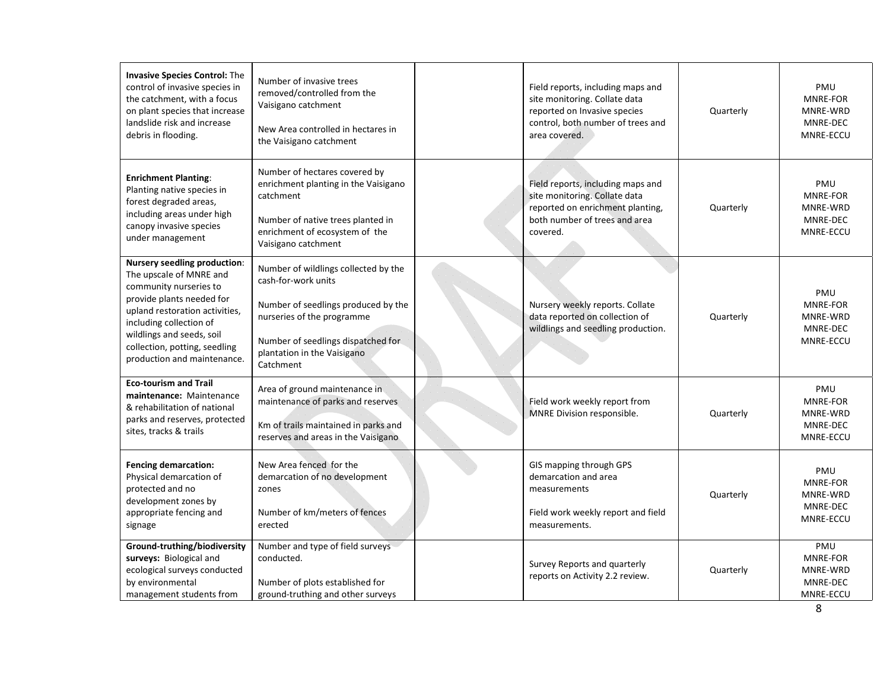| <b>Invasive Species Control: The</b><br>control of invasive species in<br>the catchment, with a focus<br>on plant species that increase<br>landslide risk and increase<br>debris in flooding.                                                                                   | Number of invasive trees<br>removed/controlled from the<br>Vaisigano catchment<br>New Area controlled in hectares in<br>the Vaisigano catchment                                                                    | Field reports, including maps and<br>site monitoring. Collate data<br>reported on Invasive species<br>control, both number of trees and<br>area covered. | Quarterly | PMU<br>MNRE-FOR<br>MNRE-WRD<br>MNRE-DEC<br>MNRE-ECCU        |
|---------------------------------------------------------------------------------------------------------------------------------------------------------------------------------------------------------------------------------------------------------------------------------|--------------------------------------------------------------------------------------------------------------------------------------------------------------------------------------------------------------------|----------------------------------------------------------------------------------------------------------------------------------------------------------|-----------|-------------------------------------------------------------|
| <b>Enrichment Planting:</b><br>Planting native species in<br>forest degraded areas,<br>including areas under high<br>canopy invasive species<br>under management                                                                                                                | Number of hectares covered by<br>enrichment planting in the Vaisigano<br>catchment<br>Number of native trees planted in<br>enrichment of ecosystem of the<br>Vaisigano catchment                                   | Field reports, including maps and<br>site monitoring. Collate data<br>reported on enrichment planting,<br>both number of trees and area<br>covered.      | Quarterly | PMU<br>MNRE-FOR<br>MNRE-WRD<br>MNRE-DEC<br>MNRE-ECCU        |
| <b>Nursery seedling production:</b><br>The upscale of MNRE and<br>community nurseries to<br>provide plants needed for<br>upland restoration activities,<br>including collection of<br>wildlings and seeds, soil<br>collection, potting, seedling<br>production and maintenance. | Number of wildlings collected by the<br>cash-for-work units<br>Number of seedlings produced by the<br>nurseries of the programme<br>Number of seedlings dispatched for<br>plantation in the Vaisigano<br>Catchment | Nursery weekly reports. Collate<br>data reported on collection of<br>wildlings and seedling production.                                                  | Quarterly | PMU<br><b>MNRE-FOR</b><br>MNRE-WRD<br>MNRE-DEC<br>MNRE-ECCU |
| <b>Eco-tourism and Trail</b><br>maintenance: Maintenance<br>& rehabilitation of national<br>parks and reserves, protected<br>sites, tracks & trails                                                                                                                             | Area of ground maintenance in<br>maintenance of parks and reserves<br>Km of trails maintained in parks and<br>reserves and areas in the Vaisigano                                                                  | Field work weekly report from<br>MNRE Division responsible.                                                                                              | Quarterly | PMU<br>MNRE-FOR<br>MNRE-WRD<br>MNRE-DEC<br>MNRE-ECCU        |
| <b>Fencing demarcation:</b><br>Physical demarcation of<br>protected and no<br>development zones by<br>appropriate fencing and<br>signage                                                                                                                                        | New Area fenced for the<br>demarcation of no development<br>zones<br>Number of km/meters of fences<br>erected                                                                                                      | GIS mapping through GPS<br>demarcation and area<br>measurements<br>Field work weekly report and field<br>measurements.                                   | Quarterly | PMU<br>MNRE-FOR<br>MNRE-WRD<br>MNRE-DEC<br>MNRE-ECCU        |
| Ground-truthing/biodiversity<br>surveys: Biological and<br>ecological surveys conducted<br>by environmental<br>management students from                                                                                                                                         | Number and type of field surveys<br>conducted.<br>Number of plots established for<br>ground-truthing and other surveys                                                                                             | Survey Reports and quarterly<br>reports on Activity 2.2 review.                                                                                          | Quarterly | PMU<br>MNRE-FOR<br>MNRE-WRD<br>MNRE-DEC<br>MNRE-ECCU        |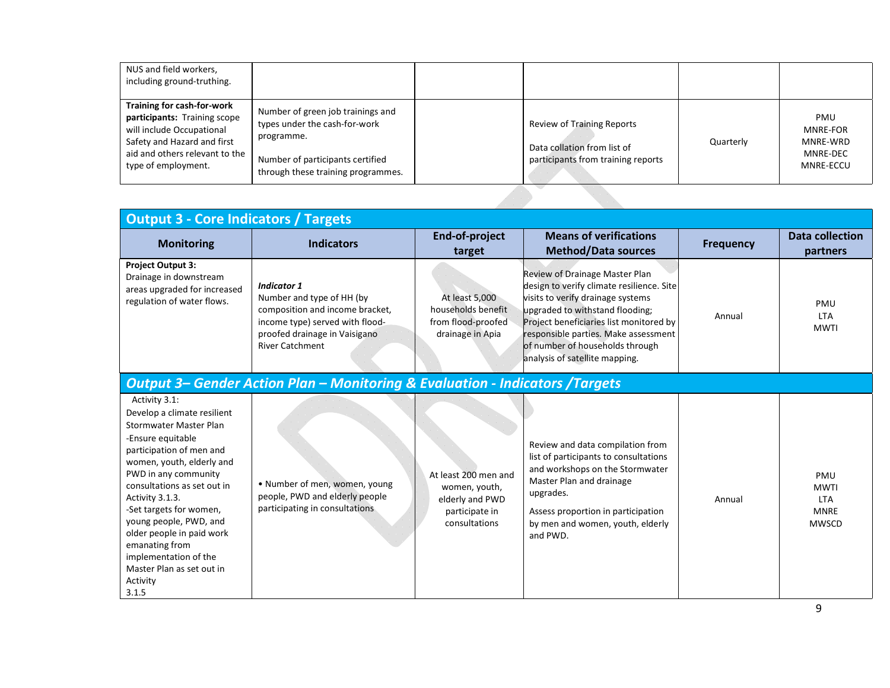| NUS and field workers,<br>including ground-truthing.                                                                                                                            |                                                                                                                                                            |                                                                                                 |           |                                                             |
|---------------------------------------------------------------------------------------------------------------------------------------------------------------------------------|------------------------------------------------------------------------------------------------------------------------------------------------------------|-------------------------------------------------------------------------------------------------|-----------|-------------------------------------------------------------|
| Training for cash-for-work<br>participants: Training scope<br>will include Occupational<br>Safety and Hazard and first<br>aid and others relevant to the<br>type of employment. | Number of green job trainings and<br>types under the cash-for-work<br>programme.<br>Number of participants certified<br>through these training programmes. | Review of Training Reports<br>Data collation from list of<br>participants from training reports | Quarterly | PMU<br><b>MNRE-FOR</b><br>MNRE-WRD<br>MNRE-DEC<br>MNRE-ECCU |

| <b>Output 3 - Core Indicators / Targets</b>                                                                                                                                                                                                                                                                                                                                                                          |                                                                                                                                                                                  |                                                                                             |                                                                                                                                                                                                                                                                                                             |                  |                                                                 |  |
|----------------------------------------------------------------------------------------------------------------------------------------------------------------------------------------------------------------------------------------------------------------------------------------------------------------------------------------------------------------------------------------------------------------------|----------------------------------------------------------------------------------------------------------------------------------------------------------------------------------|---------------------------------------------------------------------------------------------|-------------------------------------------------------------------------------------------------------------------------------------------------------------------------------------------------------------------------------------------------------------------------------------------------------------|------------------|-----------------------------------------------------------------|--|
| <b>Monitoring</b>                                                                                                                                                                                                                                                                                                                                                                                                    | <b>Indicators</b>                                                                                                                                                                | End-of-project<br>target                                                                    | <b>Means of verifications</b><br><b>Method/Data sources</b>                                                                                                                                                                                                                                                 | <b>Frequency</b> | <b>Data collection</b><br>partners                              |  |
| <b>Project Output 3:</b><br>Drainage in downstream<br>areas upgraded for increased<br>regulation of water flows.                                                                                                                                                                                                                                                                                                     | <b>Indicator 1</b><br>Number and type of HH (by<br>composition and income bracket,<br>income type) served with flood-<br>proofed drainage in Vaisigano<br><b>River Catchment</b> | At least 5,000<br>households benefit<br>from flood-proofed<br>drainage in Apia              | Review of Drainage Master Plan<br>design to verify climate resilience. Site<br>visits to verify drainage systems<br>upgraded to withstand flooding;<br>Project beneficiaries list monitored by<br>responsible parties. Make assessment<br>of number of households through<br>analysis of satellite mapping. | Annual           | PMU<br><b>LTA</b><br><b>MWTI</b>                                |  |
|                                                                                                                                                                                                                                                                                                                                                                                                                      | <b>Output 3- Gender Action Plan - Monitoring &amp; Evaluation - Indicators /Targets</b>                                                                                          |                                                                                             |                                                                                                                                                                                                                                                                                                             |                  |                                                                 |  |
| Activity 3.1:<br>Develop a climate resilient<br><b>Stormwater Master Plan</b><br>-Ensure equitable<br>participation of men and<br>women, youth, elderly and<br>PWD in any community<br>consultations as set out in<br>Activity 3.1.3.<br>-Set targets for women,<br>young people, PWD, and<br>older people in paid work<br>emanating from<br>implementation of the<br>Master Plan as set out in<br>Activity<br>3.1.5 | • Number of men, women, young<br>people, PWD and elderly people<br>participating in consultations                                                                                | At least 200 men and<br>women, youth,<br>elderly and PWD<br>participate in<br>consultations | Review and data compilation from<br>list of participants to consultations<br>and workshops on the Stormwater<br>Master Plan and drainage<br>upgrades.<br>Assess proportion in participation<br>by men and women, youth, elderly<br>and PWD.                                                                 | Annual           | PMU<br><b>MWTI</b><br><b>LTA</b><br><b>MNRE</b><br><b>MWSCD</b> |  |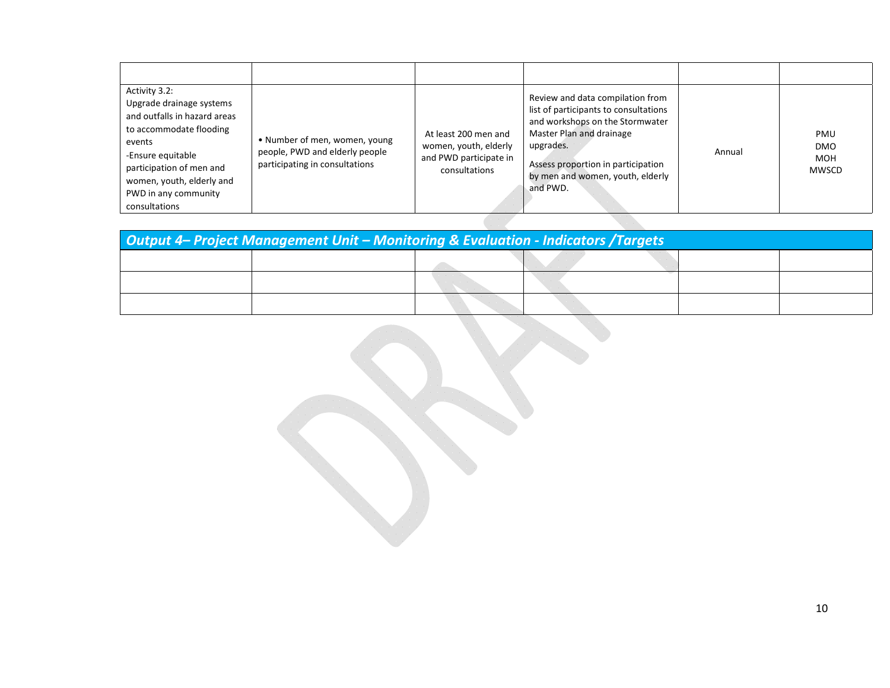| Activity 3.2:<br>Upgrade drainage systems<br>and outfalls in hazard areas<br>to accommodate flooding<br>events<br>-Ensure equitable<br>participation of men and<br>women, youth, elderly and<br>PWD in any community<br>consultations | • Number of men, women, young<br>people, PWD and elderly people<br>participating in consultations | At least 200 men and<br>women, youth, elderly<br>and PWD participate in<br>consultations | Review and data compilation from<br>list of participants to consultations<br>and workshops on the Stormwater<br>Master Plan and drainage<br>upgrades.<br>Assess proportion in participation<br>by men and women, youth, elderly<br>and PWD. | Annual | PMU<br><b>DMO</b><br><b>MOH</b><br>MWSCD |
|---------------------------------------------------------------------------------------------------------------------------------------------------------------------------------------------------------------------------------------|---------------------------------------------------------------------------------------------------|------------------------------------------------------------------------------------------|---------------------------------------------------------------------------------------------------------------------------------------------------------------------------------------------------------------------------------------------|--------|------------------------------------------|

| <b>Output 4– Project Management Unit – Monitoring &amp; Evaluation - Indicators /Targets</b> |  |  |  |  |  |
|----------------------------------------------------------------------------------------------|--|--|--|--|--|
|                                                                                              |  |  |  |  |  |
|                                                                                              |  |  |  |  |  |
|                                                                                              |  |  |  |  |  |